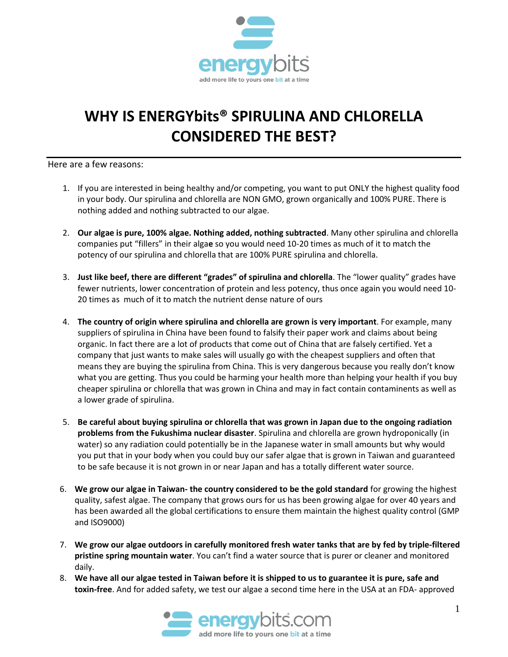

## **WHY IS ENERGYbits® SPIRULINA AND CHLORELLA CONSIDERED THE BEST?**

Here are a few reasons:

- 1. If you are interested in being healthy and/or competing, you want to put ONLY the highest quality food in your body. Our spirulina and chlorella are NON GMO, grown organically and 100% PURE. There is nothing added and nothing subtracted to our algae.
- 2. **Our algae is pure, 100% algae. Nothing added, nothing subtracted**. Many other spirulina and chlorella companies put "fillers" in their alga**e** so you would need 10-20 times as much of it to match the potency of our spirulina and chlorella that are 100% PURE spirulina and chlorella.
- 3. **Just like beef, there are different "grades" of spirulina and chlorella**. The "lower quality" grades have fewer nutrients, lower concentration of protein and less potency, thus once again you would need 10- 20 times as much of it to match the nutrient dense nature of ours
- 4. **The country of origin where spirulina and chlorella are grown is very important**. For example, many suppliers of spirulina in China have been found to falsify their paper work and claims about being organic. In fact there are a lot of products that come out of China that are falsely certified. Yet a company that just wants to make sales will usually go with the cheapest suppliers and often that means they are buying the spirulina from China. This is very dangerous because you really don't know what you are getting. Thus you could be harming your health more than helping your health if you buy cheaper spirulina or chlorella that was grown in China and may in fact contain contaminents as well as a lower grade of spirulina.
- 5. **Be careful about buying spirulina or chlorella that was grown in Japan due to the ongoing radiation problems from the Fukushima nuclear disaster**. Spirulina and chlorella are grown hydroponically (in water) so any radiation could potentially be in the Japanese water in small amounts but why would you put that in your body when you could buy our safer algae that is grown in Taiwan and guaranteed to be safe because it is not grown in or near Japan and has a totally different water source.
- 6. **We grow our algae in Taiwan- the country considered to be the gold standard** for growing the highest quality, safest algae. The company that grows ours for us has been growing algae for over 40 years and has been awarded all the global certifications to ensure them maintain the highest quality control (GMP and ISO9000)
- 7. **We grow our algae outdoors in carefully monitored fresh water tanks that are by fed by triple-filtered pristine spring mountain water**. You can't find a water source that is purer or cleaner and monitored daily.
- 8. **We have all our algae tested in Taiwan before it is shipped to us to guarantee it is pure, safe and toxin-free**. And for added safety, we test our algae a second time here in the USA at an FDA- approved

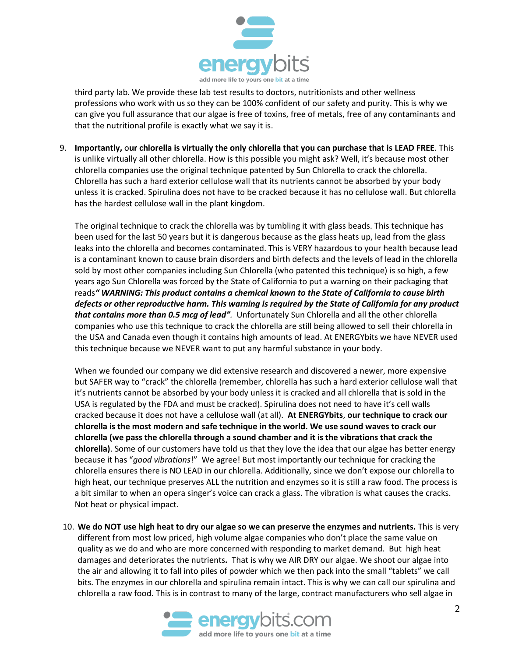

third party lab. We provide these lab test results to doctors, nutritionists and other wellness professions who work with us so they can be 100% confident of our safety and purity. This is why we can give you full assurance that our algae is free of toxins, free of metals, free of any contaminants and that the nutritional profile is exactly what we say it is.

9. **Importantly,** o**ur chlorella is virtually the only chlorella that you can purchase that is LEAD FREE**. This is unlike virtually all other chlorella. How is this possible you might ask? Well, it's because most other chlorella companies use the original technique patented by Sun Chlorella to crack the chlorella. Chlorella has such a hard exterior cellulose wall that its nutrients cannot be absorbed by your body unless it is cracked. Spirulina does not have to be cracked because it has no cellulose wall. But chlorella has the hardest cellulose wall in the plant kingdom.

The original technique to crack the chlorella was by tumbling it with glass beads. This technique has been used for the last 50 years but it is dangerous because as the glass heats up, lead from the glass leaks into the chlorella and becomes contaminated. This is VERY hazardous to your health because lead is a contaminant known to cause brain disorders and birth defects and the levels of lead in the chlorella sold by most other companies including Sun Chlorella (who patented this technique) is so high, a few years ago Sun Chlorella was forced by the State of California to put a warning on their packaging that reads*" WARNING: This product contains a chemical known to the State of California to cause birth defects or other reproductive harm. This warning is required by the State of California for any product that contains more than 0.5 mcg of lead".* Unfortunately Sun Chlorella and all the other chlorella companies who use this technique to crack the chlorella are still being allowed to sell their chlorella in the USA and Canada even though it contains high amounts of lead. At ENERGYbits we have NEVER used this technique because we NEVER want to put any harmful substance in your body.

When we founded our company we did extensive research and discovered a newer, more expensive but SAFER way to "crack" the chlorella (remember, chlorella has such a hard exterior cellulose wall that it's nutrients cannot be absorbed by your body unless it is cracked and all chlorella that is sold in the USA is regulated by the FDA and must be cracked). Spirulina does not need to have it's cell walls cracked because it does not have a cellulose wall (at all). **At ENERGYbits**, **our technique to crack our chlorella is the most modern and safe technique in the world. We use sound waves to crack our chlorella (we pass the chlorella through a sound chamber and it is the vibrations that crack the chlorella)**. Some of our customers have told us that they love the idea that our algae has better energy because it has "*good vibrations*!" We agree! But most importantly our technique for cracking the chlorella ensures there is NO LEAD in our chlorella. Additionally, since we don't expose our chlorella to high heat, our technique preserves ALL the nutrition and enzymes so it is still a raw food. The process is a bit similar to when an opera singer's voice can crack a glass. The vibration is what causes the cracks. Not heat or physical impact.

10. **We do NOT use high heat to dry our algae so we can preserve the enzymes and nutrients.** This is very different from most low priced, high volume algae companies who don't place the same value on quality as we do and who are more concerned with responding to market demand. But high heat damages and deteriorates the nutrients**.** That is why we AIR DRY our algae. We shoot our algae into the air and allowing it to fall into piles of powder which we then pack into the small "tablets" we call bits. The enzymes in our chlorella and spirulina remain intact. This is why we can call our spirulina and chlorella a raw food. This is in contrast to many of the large, contract manufacturers who sell algae in